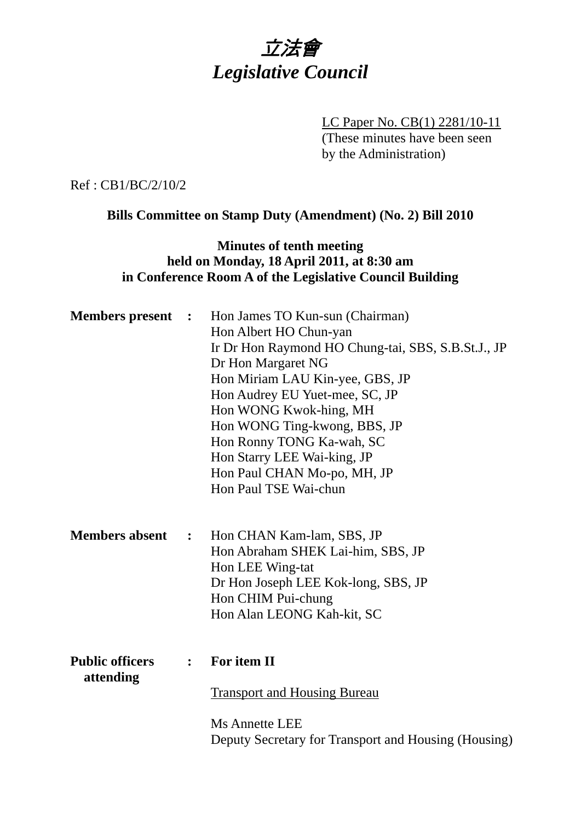

LC Paper No. CB(1) 2281/10-11 (These minutes have been seen by the Administration)

Ref : CB1/BC/2/10/2

**Bills Committee on Stamp Duty (Amendment) (No. 2) Bill 2010** 

# **Minutes of tenth meeting held on Monday, 18 April 2011, at 8:30 am in Conference Room A of the Legislative Council Building**

| <b>Members present</b>              | $\sim$ 100 $\sim$ | Hon James TO Kun-sun (Chairman)<br>Hon Albert HO Chun-yan<br>Ir Dr Hon Raymond HO Chung-tai, SBS, S.B.St.J., JP<br>Dr Hon Margaret NG<br>Hon Miriam LAU Kin-yee, GBS, JP<br>Hon Audrey EU Yuet-mee, SC, JP<br>Hon WONG Kwok-hing, MH<br>Hon WONG Ting-kwong, BBS, JP<br>Hon Ronny TONG Ka-wah, SC<br>Hon Starry LEE Wai-king, JP<br>Hon Paul CHAN Mo-po, MH, JP<br>Hon Paul TSE Wai-chun |
|-------------------------------------|-------------------|------------------------------------------------------------------------------------------------------------------------------------------------------------------------------------------------------------------------------------------------------------------------------------------------------------------------------------------------------------------------------------------|
| <b>Members absent</b>               | $\ddot{\bullet}$  | Hon CHAN Kam-lam, SBS, JP<br>Hon Abraham SHEK Lai-him, SBS, JP<br>Hon LEE Wing-tat<br>Dr Hon Joseph LEE Kok-long, SBS, JP<br>Hon CHIM Pui-chung<br>Hon Alan LEONG Kah-kit, SC                                                                                                                                                                                                            |
| <b>Public officers</b><br>attending | $\ddot{\bullet}$  | For item II<br><b>Transport and Housing Bureau</b><br><b>Ms Annette LEE</b><br>Deputy Secretary for Transport and Housing (Housing)                                                                                                                                                                                                                                                      |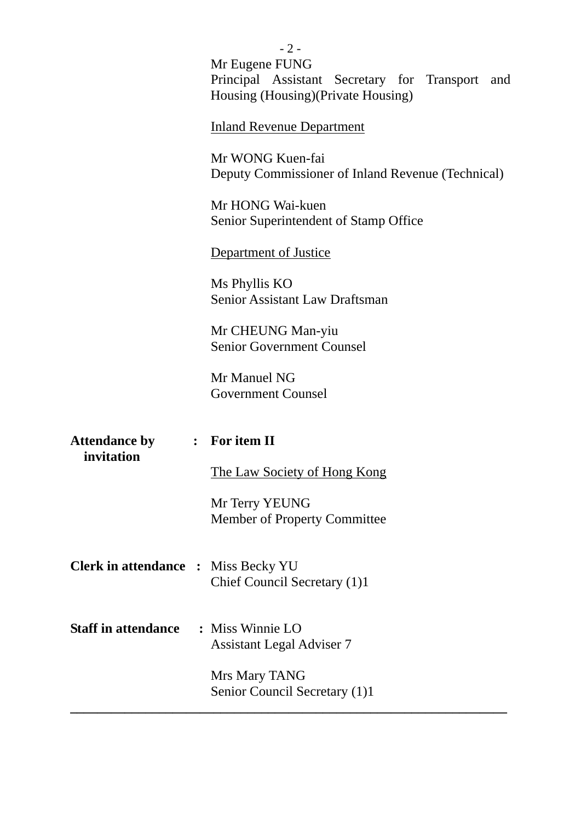|                                            |                                                           | $-2-$<br>Mr Eugene FUNG<br>Principal Assistant Secretary for Transport and<br>Housing (Housing) (Private Housing) |  |  |
|--------------------------------------------|-----------------------------------------------------------|-------------------------------------------------------------------------------------------------------------------|--|--|
|                                            |                                                           | <b>Inland Revenue Department</b>                                                                                  |  |  |
|                                            |                                                           | Mr WONG Kuen-fai<br>Deputy Commissioner of Inland Revenue (Technical)                                             |  |  |
|                                            | Mr HONG Wai-kuen<br>Senior Superintendent of Stamp Office |                                                                                                                   |  |  |
|                                            |                                                           | <b>Department of Justice</b>                                                                                      |  |  |
|                                            |                                                           | Ms Phyllis KO<br><b>Senior Assistant Law Draftsman</b>                                                            |  |  |
|                                            |                                                           | Mr CHEUNG Man-yiu<br><b>Senior Government Counsel</b>                                                             |  |  |
|                                            |                                                           | Mr Manuel NG<br><b>Government Counsel</b>                                                                         |  |  |
| <b>Attendance by</b><br>invitation         |                                                           | : For item II                                                                                                     |  |  |
|                                            |                                                           | The Law Society of Hong Kong                                                                                      |  |  |
|                                            |                                                           | Mr Terry YEUNG<br>Member of Property Committee                                                                    |  |  |
| <b>Clerk in attendance : Miss Becky YU</b> |                                                           | Chief Council Secretary (1)1                                                                                      |  |  |
| <b>Staff in attendance</b>                 |                                                           | : Miss Winnie LO<br><b>Assistant Legal Adviser 7</b>                                                              |  |  |
|                                            |                                                           | Mrs Mary TANG<br>Senior Council Secretary (1)1                                                                    |  |  |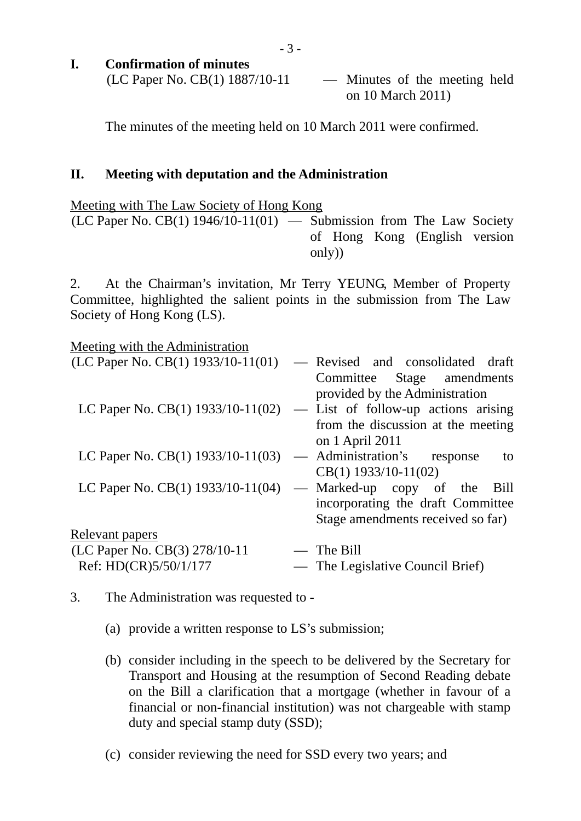- 3 -

**I. Confirmation of minutes**   $(LC$  Paper No.  $CB(1)$  1887/10-11 — Minutes of the meeting held

on 10 March 2011)

The minutes of the meeting held on 10 March 2011 were confirmed.

## **II. Meeting with deputation and the Administration**

## Meeting with The Law Society of Hong Kong

(LC Paper No. CB(1) 1946/10-11(01) — Submission from The Law Society of Hong Kong (English version only))

2. At the Chairman's invitation, Mr Terry YEUNG, Member of Property Committee, highlighted the salient points in the submission from The Law Society of Hong Kong (LS).

Meeting with the Administration

| (LC Paper No. CB $(1)$ 1933/10-11 $(01)$ ) | - Revised and consolidated draft                                 |
|--------------------------------------------|------------------------------------------------------------------|
|                                            | Committee Stage amendments                                       |
|                                            | provided by the Administration                                   |
| LC Paper No. $CB(1)$ 1933/10-11(02)        | - List of follow-up actions arising                              |
|                                            | from the discussion at the meeting                               |
|                                            | on 1 April 2011                                                  |
| LC Paper No. $CB(1)$ 1933/10-11(03)        | Administration's response<br>$\overline{\phantom{a}}$<br>to      |
|                                            | $CB(1)$ 1933/10-11(02)                                           |
| LC Paper No. $CB(1)$ 1933/10-11(04)        | Marked-up copy of the<br><b>Bill</b><br>$\overline{\phantom{0}}$ |
|                                            | incorporating the draft Committee                                |
|                                            | Stage amendments received so far)                                |
| <u>Relevant papers</u>                     |                                                                  |
| (LC Paper No. CB(3) 278/10-11              | $-$ The Bill                                                     |
| Ref: HD(CR)5/50/1/177                      | The Legislative Council Brief)                                   |
|                                            |                                                                  |

- 3. The Administration was requested to
	- (a) provide a written response to LS's submission;
	- (b) consider including in the speech to be delivered by the Secretary for Transport and Housing at the resumption of Second Reading debate on the Bill a clarification that a mortgage (whether in favour of a financial or non-financial institution) was not chargeable with stamp duty and special stamp duty (SSD);
	- (c) consider reviewing the need for SSD every two years; and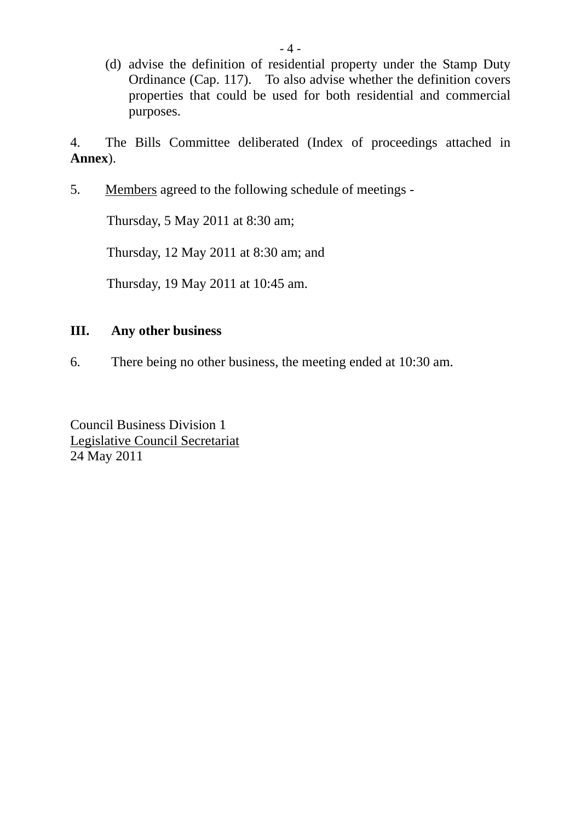(d) advise the definition of residential property under the Stamp Duty Ordinance (Cap. 117). To also advise whether the definition covers properties that could be used for both residential and commercial purposes.

4. The Bills Committee deliberated (Index of proceedings attached in **Annex**).

5. Members agreed to the following schedule of meetings -

Thursday, 5 May 2011 at 8:30 am;

Thursday, 12 May 2011 at 8:30 am; and

Thursday, 19 May 2011 at 10:45 am.

# **III. Any other business**

6. There being no other business, the meeting ended at 10:30 am.

Council Business Division 1 Legislative Council Secretariat 24 May 2011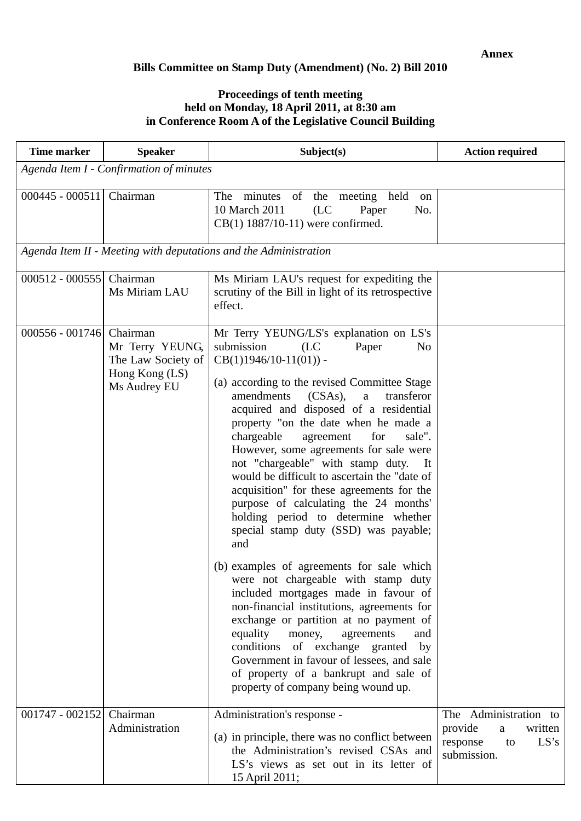#### **Bills Committee on Stamp Duty (Amendment) (No. 2) Bill 2010**

#### **Proceedings of tenth meeting held on Monday, 18 April 2011, at 8:30 am in Conference Room A of the Legislative Council Building**

| <b>Time marker</b>                      | <b>Speaker</b>                                                                      | Subject(s)                                                                                                                                                                                                                                                                                                                                                                                                                                                                                                                                                                                                                                                                                                                                                                                                                                                                                                                                                                                                                                                                                           | <b>Action required</b>                                                                    |
|-----------------------------------------|-------------------------------------------------------------------------------------|------------------------------------------------------------------------------------------------------------------------------------------------------------------------------------------------------------------------------------------------------------------------------------------------------------------------------------------------------------------------------------------------------------------------------------------------------------------------------------------------------------------------------------------------------------------------------------------------------------------------------------------------------------------------------------------------------------------------------------------------------------------------------------------------------------------------------------------------------------------------------------------------------------------------------------------------------------------------------------------------------------------------------------------------------------------------------------------------------|-------------------------------------------------------------------------------------------|
| Agenda Item I - Confirmation of minutes |                                                                                     |                                                                                                                                                                                                                                                                                                                                                                                                                                                                                                                                                                                                                                                                                                                                                                                                                                                                                                                                                                                                                                                                                                      |                                                                                           |
| $000445 - 000511$                       | Chairman                                                                            | The minutes of the meeting held<br>on<br>10 March 2011<br>(LC)<br>No.<br>Paper<br>$CB(1)$ 1887/10-11) were confirmed.                                                                                                                                                                                                                                                                                                                                                                                                                                                                                                                                                                                                                                                                                                                                                                                                                                                                                                                                                                                |                                                                                           |
|                                         |                                                                                     | Agenda Item II - Meeting with deputations and the Administration                                                                                                                                                                                                                                                                                                                                                                                                                                                                                                                                                                                                                                                                                                                                                                                                                                                                                                                                                                                                                                     |                                                                                           |
| $000512 - 000555$                       | Chairman<br>Ms Miriam LAU                                                           | Ms Miriam LAU's request for expediting the<br>scrutiny of the Bill in light of its retrospective<br>effect.                                                                                                                                                                                                                                                                                                                                                                                                                                                                                                                                                                                                                                                                                                                                                                                                                                                                                                                                                                                          |                                                                                           |
| $000556 - 001746$                       | Chairman<br>Mr Terry YEUNG,<br>The Law Society of<br>Hong Kong (LS)<br>Ms Audrey EU | Mr Terry YEUNG/LS's explanation on LS's<br>submission<br>(LC)<br>Paper<br>N <sub>0</sub><br>$CB(1)1946/10-11(01))$ -<br>(a) according to the revised Committee Stage<br>$(CSAs)$ ,<br>amendments<br>a<br>transferor<br>acquired and disposed of a residential<br>property "on the date when he made a<br>chargeable<br>agreement<br>for<br>sale".<br>However, some agreements for sale were<br>not "chargeable" with stamp duty.<br>It<br>would be difficult to ascertain the "date of<br>acquisition" for these agreements for the<br>purpose of calculating the 24 months'<br>holding period to determine whether<br>special stamp duty (SSD) was payable;<br>and<br>(b) examples of agreements for sale which<br>were not chargeable with stamp duty<br>included mortgages made in favour of<br>non-financial institutions, agreements for<br>exchange or partition at no payment of<br>equality<br>money,<br>agreements<br>and<br>conditions of exchange granted by<br>Government in favour of lessees, and sale<br>of property of a bankrupt and sale of<br>property of company being wound up. |                                                                                           |
| $001747 - 002152$                       | Chairman<br>Administration                                                          | Administration's response -<br>(a) in principle, there was no conflict between<br>the Administration's revised CSAs and<br>LS's views as set out in its letter of<br>15 April 2011;                                                                                                                                                                                                                                                                                                                                                                                                                                                                                                                                                                                                                                                                                                                                                                                                                                                                                                                  | The Administration to<br>provide<br>written<br>a<br>LS's<br>response<br>to<br>submission. |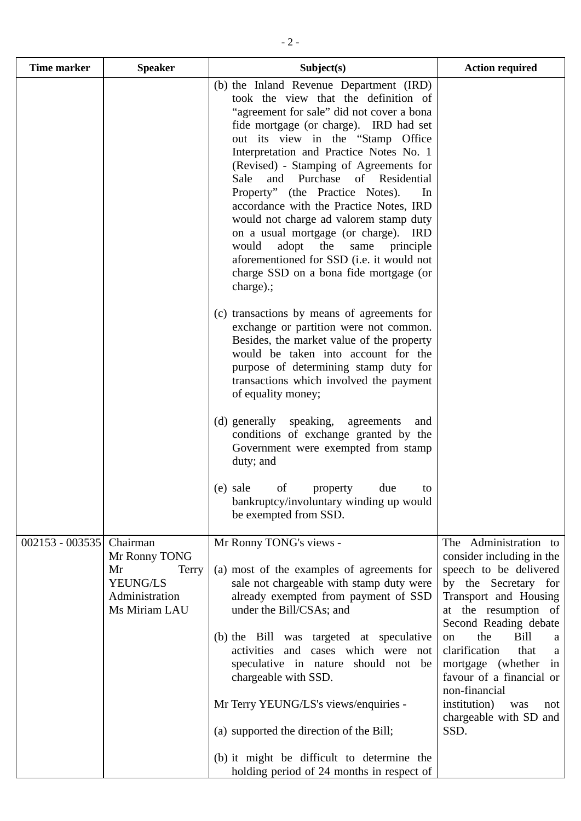| <b>Time marker</b> | <b>Speaker</b>                                                                          | Subject(s)                                                                                                                                                                                                                                                                                                                                                                                                                                                                                                                                                                                                                                                   | <b>Action required</b>                                                                                                                                                                                                                                                                                                                                                         |
|--------------------|-----------------------------------------------------------------------------------------|--------------------------------------------------------------------------------------------------------------------------------------------------------------------------------------------------------------------------------------------------------------------------------------------------------------------------------------------------------------------------------------------------------------------------------------------------------------------------------------------------------------------------------------------------------------------------------------------------------------------------------------------------------------|--------------------------------------------------------------------------------------------------------------------------------------------------------------------------------------------------------------------------------------------------------------------------------------------------------------------------------------------------------------------------------|
|                    |                                                                                         | (b) the Inland Revenue Department (IRD)<br>took the view that the definition of<br>"agreement for sale" did not cover a bona<br>fide mortgage (or charge). IRD had set<br>out its view in the "Stamp Office<br>Interpretation and Practice Notes No. 1<br>(Revised) - Stamping of Agreements for<br>Sale and Purchase of Residential<br>Property" (the Practice Notes).<br>In<br>accordance with the Practice Notes, IRD<br>would not charge ad valorem stamp duty<br>on a usual mortgage (or charge). IRD<br>adopt<br>the<br>would<br>principle<br>same<br>aforementioned for SSD (i.e. it would not<br>charge SSD on a bona fide mortgage (or<br>charge).; |                                                                                                                                                                                                                                                                                                                                                                                |
|                    |                                                                                         | (c) transactions by means of agreements for<br>exchange or partition were not common.<br>Besides, the market value of the property<br>would be taken into account for the<br>purpose of determining stamp duty for<br>transactions which involved the payment<br>of equality money;                                                                                                                                                                                                                                                                                                                                                                          |                                                                                                                                                                                                                                                                                                                                                                                |
|                    |                                                                                         | (d) generally speaking,<br>agreements<br>and<br>conditions of exchange granted by the<br>Government were exempted from stamp<br>duty; and<br>(e) sale<br>of<br>due<br>property<br>to<br>bankruptcy/involuntary winding up would                                                                                                                                                                                                                                                                                                                                                                                                                              |                                                                                                                                                                                                                                                                                                                                                                                |
| $002153 - 003535$  | Chairman<br>Mr Ronny TONG<br>Mr<br>Terry<br>YEUNG/LS<br>Administration<br>Ms Miriam LAU | be exempted from SSD.<br>Mr Ronny TONG's views -<br>(a) most of the examples of agreements for<br>sale not chargeable with stamp duty were<br>already exempted from payment of SSD<br>under the Bill/CSAs; and<br>(b) the Bill was targeted at speculative<br>activities and cases which were not<br>speculative in nature should not be<br>chargeable with SSD.<br>Mr Terry YEUNG/LS's views/enquiries -<br>(a) supported the direction of the Bill;<br>(b) it might be difficult to determine the                                                                                                                                                          | The Administration to<br>consider including in the<br>speech to be delivered<br>by the Secretary for<br>Transport and Housing<br>at the resumption of<br>Second Reading debate<br>the<br>Bill<br>on<br>a<br>clarification<br>that<br>a<br>mortgage (whether<br>in<br>favour of a financial or<br>non-financial<br>institution)<br>was<br>not<br>chargeable with SD and<br>SSD. |
|                    |                                                                                         | holding period of 24 months in respect of                                                                                                                                                                                                                                                                                                                                                                                                                                                                                                                                                                                                                    |                                                                                                                                                                                                                                                                                                                                                                                |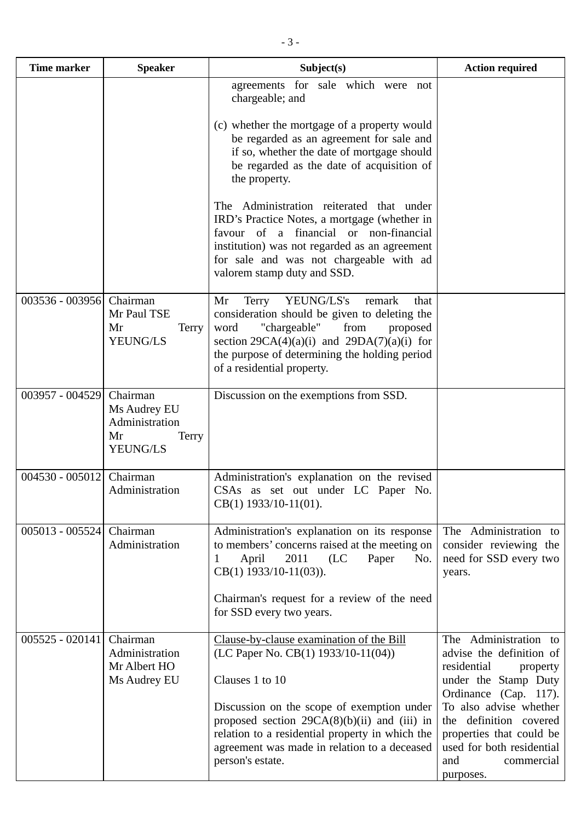| <b>Time marker</b> | <b>Speaker</b>                                                        | Subject(s)                                                                                                                                                                                                                                                                                                                | <b>Action required</b>                                                                                                                                                                                                                                                       |
|--------------------|-----------------------------------------------------------------------|---------------------------------------------------------------------------------------------------------------------------------------------------------------------------------------------------------------------------------------------------------------------------------------------------------------------------|------------------------------------------------------------------------------------------------------------------------------------------------------------------------------------------------------------------------------------------------------------------------------|
|                    |                                                                       | agreements for sale which were not<br>chargeable; and<br>(c) whether the mortgage of a property would<br>be regarded as an agreement for sale and<br>if so, whether the date of mortgage should<br>be regarded as the date of acquisition of<br>the property.                                                             |                                                                                                                                                                                                                                                                              |
|                    |                                                                       | The Administration reiterated that under<br>IRD's Practice Notes, a mortgage (whether in<br>favour of a financial or non-financial<br>institution) was not regarded as an agreement<br>for sale and was not chargeable with ad<br>valorem stamp duty and SSD.                                                             |                                                                                                                                                                                                                                                                              |
| 003536 - 003956    | Chairman<br>Mr Paul TSE<br>Mr<br>Terry<br>YEUNG/LS                    | YEUNG/LS's<br>Terry<br>Mr<br>remark<br>that<br>consideration should be given to deleting the<br>word<br>"chargeable"<br>from<br>proposed<br>section $29CA(4)(a)(i)$ and $29DA(7)(a)(i)$ for<br>the purpose of determining the holding period<br>of a residential property.                                                |                                                                                                                                                                                                                                                                              |
| 003957 - 004529    | Chairman<br>Ms Audrey EU<br>Administration<br>Mr<br>Terry<br>YEUNG/LS | Discussion on the exemptions from SSD.                                                                                                                                                                                                                                                                                    |                                                                                                                                                                                                                                                                              |
| 004530 - 005012    | Chairman<br>Administration                                            | Administration's explanation on the revised<br>CSAs as set out under LC Paper No.<br>$CB(1)$ 1933/10-11(01).                                                                                                                                                                                                              |                                                                                                                                                                                                                                                                              |
| $005013 - 005524$  | Chairman<br>Administration                                            | Administration's explanation on its response<br>to members' concerns raised at the meeting on<br>April<br>2011<br>(LC)<br>Paper<br>No.<br>1<br>$CB(1)$ 1933/10-11(03)).<br>Chairman's request for a review of the need<br>for SSD every two years.                                                                        | The Administration to<br>consider reviewing the<br>need for SSD every two<br>years.                                                                                                                                                                                          |
| $005525 - 020141$  | Chairman<br>Administration<br>Mr Albert HO<br>Ms Audrey EU            | Clause-by-clause examination of the Bill<br>(LC Paper No. CB(1) 1933/10-11(04))<br>Clauses 1 to 10<br>Discussion on the scope of exemption under<br>proposed section $29CA(8)(b)(ii)$ and (iii) in<br>relation to a residential property in which the<br>agreement was made in relation to a deceased<br>person's estate. | The Administration to<br>advise the definition of<br>residential<br>property<br>under the Stamp Duty<br>Ordinance (Cap. 117).<br>To also advise whether<br>the definition covered<br>properties that could be<br>used for both residential<br>and<br>commercial<br>purposes. |